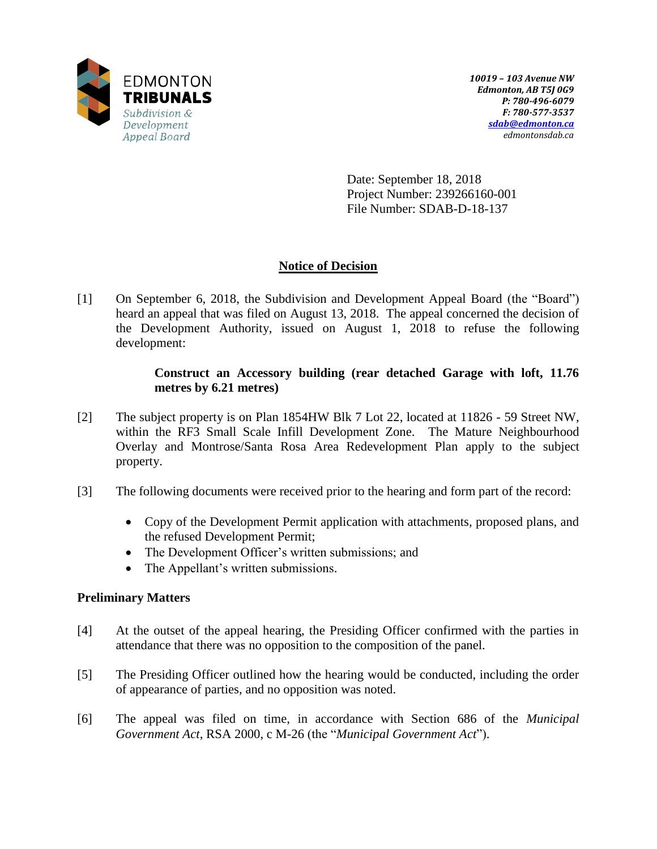

Date: September 18, 2018 Project Number: 239266160-001 File Number: SDAB-D-18-137

# **Notice of Decision**

[1] On September 6, 2018, the Subdivision and Development Appeal Board (the "Board") heard an appeal that was filed on August 13, 2018.The appeal concerned the decision of the Development Authority, issued on August 1, 2018 to refuse the following development:

## **Construct an Accessory building (rear detached Garage with loft, 11.76 metres by 6.21 metres)**

- [2] The subject property is on Plan 1854HW Blk 7 Lot 22, located at 11826 59 Street NW, within the RF3 Small Scale Infill Development Zone. The Mature Neighbourhood Overlay and Montrose/Santa Rosa Area Redevelopment Plan apply to the subject property.
- [3] The following documents were received prior to the hearing and form part of the record:
	- Copy of the Development Permit application with attachments, proposed plans, and the refused Development Permit;
	- The Development Officer's written submissions; and
	- The Appellant's written submissions.

## **Preliminary Matters**

- [4] At the outset of the appeal hearing, the Presiding Officer confirmed with the parties in attendance that there was no opposition to the composition of the panel.
- [5] The Presiding Officer outlined how the hearing would be conducted, including the order of appearance of parties, and no opposition was noted.
- [6] The appeal was filed on time, in accordance with Section 686 of the *Municipal Government Act*, RSA 2000, c M-26 (the "*Municipal Government Act*").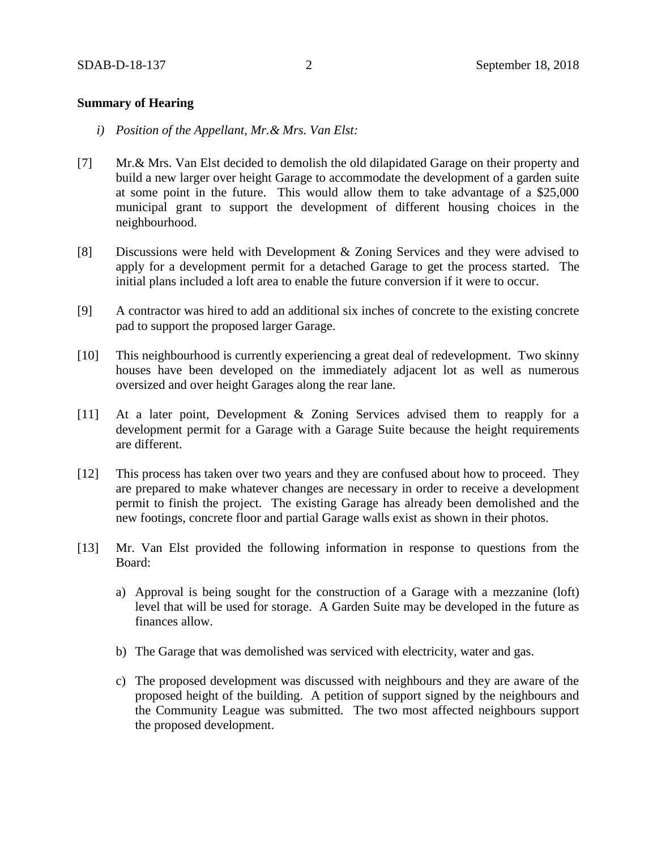### **Summary of Hearing**

- *i) Position of the Appellant, Mr.& Mrs. Van Elst:*
- [7] Mr.& Mrs. Van Elst decided to demolish the old dilapidated Garage on their property and build a new larger over height Garage to accommodate the development of a garden suite at some point in the future. This would allow them to take advantage of a \$25,000 municipal grant to support the development of different housing choices in the neighbourhood.
- [8] Discussions were held with Development & Zoning Services and they were advised to apply for a development permit for a detached Garage to get the process started. The initial plans included a loft area to enable the future conversion if it were to occur.
- [9] A contractor was hired to add an additional six inches of concrete to the existing concrete pad to support the proposed larger Garage.
- [10] This neighbourhood is currently experiencing a great deal of redevelopment. Two skinny houses have been developed on the immediately adjacent lot as well as numerous oversized and over height Garages along the rear lane.
- [11] At a later point, Development & Zoning Services advised them to reapply for a development permit for a Garage with a Garage Suite because the height requirements are different.
- [12] This process has taken over two years and they are confused about how to proceed. They are prepared to make whatever changes are necessary in order to receive a development permit to finish the project. The existing Garage has already been demolished and the new footings, concrete floor and partial Garage walls exist as shown in their photos.
- [13] Mr. Van Elst provided the following information in response to questions from the Board:
	- a) Approval is being sought for the construction of a Garage with a mezzanine (loft) level that will be used for storage. A Garden Suite may be developed in the future as finances allow.
	- b) The Garage that was demolished was serviced with electricity, water and gas.
	- c) The proposed development was discussed with neighbours and they are aware of the proposed height of the building. A petition of support signed by the neighbours and the Community League was submitted. The two most affected neighbours support the proposed development.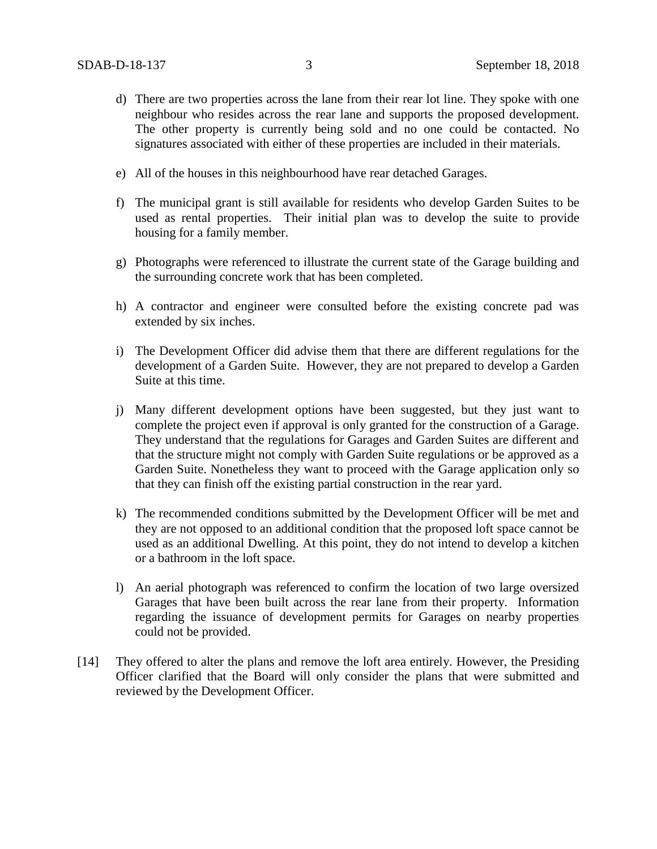- d) There are two properties across the lane from their rear lot line. They spoke with one neighbour who resides across the rear lane and supports the proposed development. The other property is currently being sold and no one could be contacted. No signatures associated with either of these properties are included in their materials.
- e) All of the houses in this neighbourhood have rear detached Garages.
- f) The municipal grant is still available for residents who develop Garden Suites to be used as rental properties. Their initial plan was to develop the suite to provide housing for a family member.
- g) Photographs were referenced to illustrate the current state of the Garage building and the surrounding concrete work that has been completed.
- h) A contractor and engineer were consulted before the existing concrete pad was extended by six inches.
- i) The Development Officer did advise them that there are different regulations for the development of a Garden Suite. However, they are not prepared to develop a Garden Suite at this time.
- j) Many different development options have been suggested, but they just want to complete the project even if approval is only granted for the construction of a Garage. They understand that the regulations for Garages and Garden Suites are different and that the structure might not comply with Garden Suite regulations or be approved as a Garden Suite. Nonetheless they want to proceed with the Garage application only so that they can finish off the existing partial construction in the rear yard.
- k) The recommended conditions submitted by the Development Officer will be met and they are not opposed to an additional condition that the proposed loft space cannot be used as an additional Dwelling. At this point, they do not intend to develop a kitchen or a bathroom in the loft space.
- l) An aerial photograph was referenced to confirm the location of two large oversized Garages that have been built across the rear lane from their property. Information regarding the issuance of development permits for Garages on nearby properties could not be provided.
- [14] They offered to alter the plans and remove the loft area entirely. However, the Presiding Officer clarified that the Board will only consider the plans that were submitted and reviewed by the Development Officer.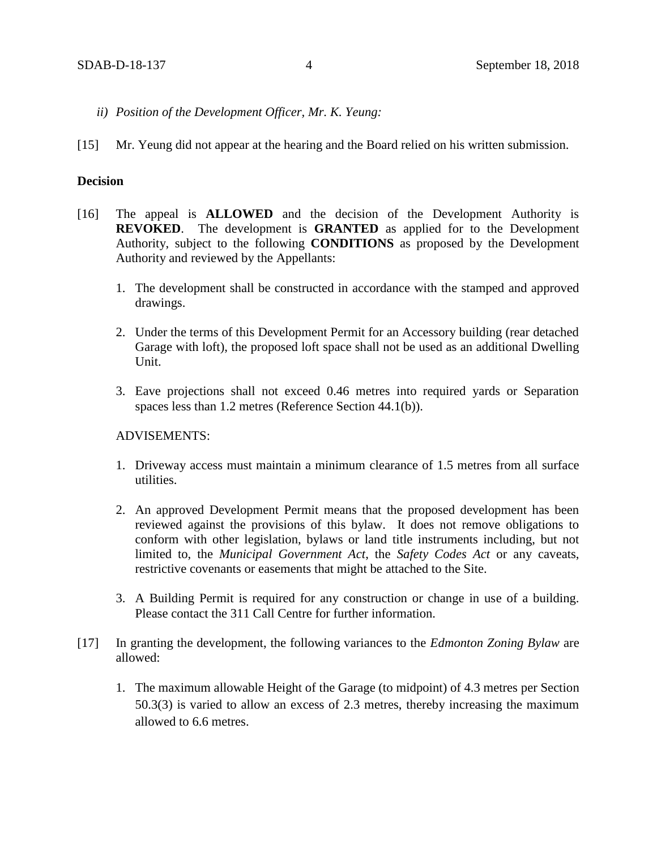- *ii) Position of the Development Officer, Mr. K. Yeung:*
- [15] Mr. Yeung did not appear at the hearing and the Board relied on his written submission.

### **Decision**

- [16] The appeal is **ALLOWED** and the decision of the Development Authority is **REVOKED**. The development is **GRANTED** as applied for to the Development Authority, subject to the following **CONDITIONS** as proposed by the Development Authority and reviewed by the Appellants:
	- 1. The development shall be constructed in accordance with the stamped and approved drawings.
	- 2. Under the terms of this Development Permit for an Accessory building (rear detached Garage with loft), the proposed loft space shall not be used as an additional Dwelling Unit.
	- 3. Eave projections shall not exceed 0.46 metres into required yards or Separation spaces less than 1.2 metres (Reference Section 44.1(b)).

#### ADVISEMENTS:

- 1. Driveway access must maintain a minimum clearance of 1.5 metres from all surface utilities.
- 2. An approved Development Permit means that the proposed development has been reviewed against the provisions of this bylaw. It does not remove obligations to conform with other legislation, bylaws or land title instruments including, but not limited to, the *Municipal Government Act*, the *Safety Codes Act* or any caveats, restrictive covenants or easements that might be attached to the Site.
- 3. A Building Permit is required for any construction or change in use of a building. Please contact the 311 Call Centre for further information.
- [17] In granting the development, the following variances to the *Edmonton Zoning Bylaw* are allowed:
	- 1. The maximum allowable Height of the Garage (to midpoint) of 4.3 metres per Section 50.3(3) is varied to allow an excess of 2.3 metres, thereby increasing the maximum allowed to 6.6 metres.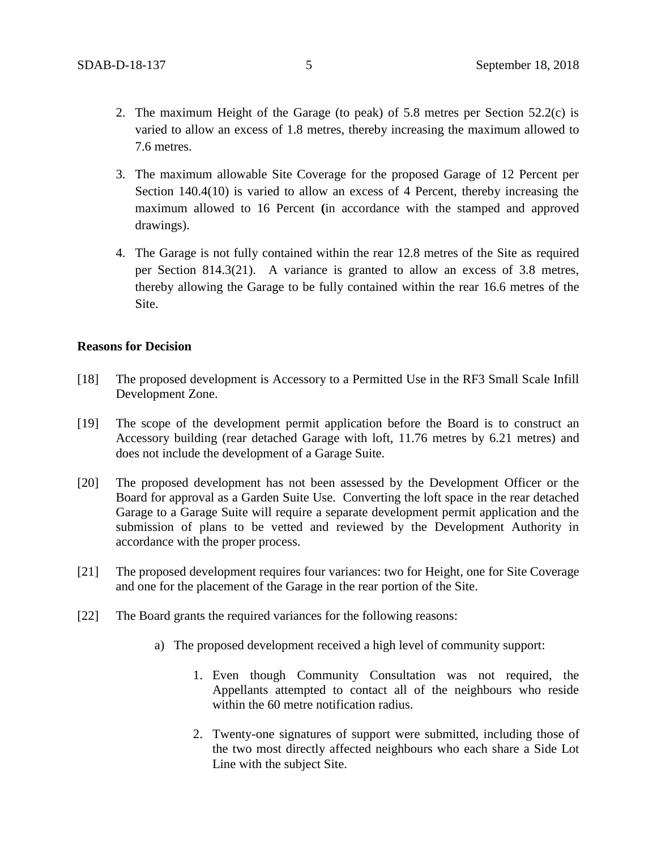- 2. The maximum Height of the Garage (to peak) of 5.8 metres per Section 52.2(c) is varied to allow an excess of 1.8 metres, thereby increasing the maximum allowed to 7.6 metres.
- 3. The maximum allowable Site Coverage for the proposed Garage of 12 Percent per Section 140.4(10) is varied to allow an excess of 4 Percent, thereby increasing the maximum allowed to 16 Percent **(**in accordance with the stamped and approved drawings).
- 4. The Garage is not fully contained within the rear 12.8 metres of the Site as required per Section 814.3(21). A variance is granted to allow an excess of 3.8 metres, thereby allowing the Garage to be fully contained within the rear 16.6 metres of the Site.

### **Reasons for Decision**

- [18] The proposed development is Accessory to a Permitted Use in the RF3 Small Scale Infill Development Zone.
- [19] The scope of the development permit application before the Board is to construct an Accessory building (rear detached Garage with loft, 11.76 metres by 6.21 metres) and does not include the development of a Garage Suite.
- [20] The proposed development has not been assessed by the Development Officer or the Board for approval as a Garden Suite Use. Converting the loft space in the rear detached Garage to a Garage Suite will require a separate development permit application and the submission of plans to be vetted and reviewed by the Development Authority in accordance with the proper process.
- [21] The proposed development requires four variances: two for Height, one for Site Coverage and one for the placement of the Garage in the rear portion of the Site.
- [22] The Board grants the required variances for the following reasons:
	- a) The proposed development received a high level of community support:
		- 1. Even though Community Consultation was not required, the Appellants attempted to contact all of the neighbours who reside within the 60 metre notification radius.
		- 2. Twenty-one signatures of support were submitted, including those of the two most directly affected neighbours who each share a Side Lot Line with the subject Site.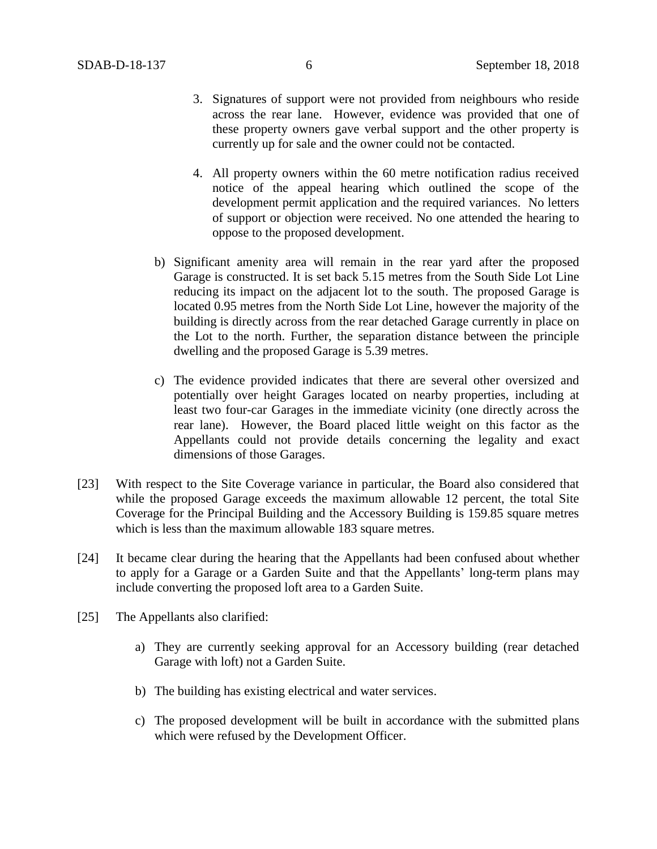- 3. Signatures of support were not provided from neighbours who reside across the rear lane. However, evidence was provided that one of these property owners gave verbal support and the other property is currently up for sale and the owner could not be contacted.
- 4. All property owners within the 60 metre notification radius received notice of the appeal hearing which outlined the scope of the development permit application and the required variances. No letters of support or objection were received. No one attended the hearing to oppose to the proposed development.
- b) Significant amenity area will remain in the rear yard after the proposed Garage is constructed. It is set back 5.15 metres from the South Side Lot Line reducing its impact on the adjacent lot to the south. The proposed Garage is located 0.95 metres from the North Side Lot Line, however the majority of the building is directly across from the rear detached Garage currently in place on the Lot to the north. Further, the separation distance between the principle dwelling and the proposed Garage is 5.39 metres.
- c) The evidence provided indicates that there are several other oversized and potentially over height Garages located on nearby properties, including at least two four-car Garages in the immediate vicinity (one directly across the rear lane). However, the Board placed little weight on this factor as the Appellants could not provide details concerning the legality and exact dimensions of those Garages.
- [23] With respect to the Site Coverage variance in particular, the Board also considered that while the proposed Garage exceeds the maximum allowable 12 percent, the total Site Coverage for the Principal Building and the Accessory Building is 159.85 square metres which is less than the maximum allowable 183 square metres.
- [24] It became clear during the hearing that the Appellants had been confused about whether to apply for a Garage or a Garden Suite and that the Appellants' long-term plans may include converting the proposed loft area to a Garden Suite.
- [25] The Appellants also clarified:
	- a) They are currently seeking approval for an Accessory building (rear detached Garage with loft) not a Garden Suite.
	- b) The building has existing electrical and water services.
	- c) The proposed development will be built in accordance with the submitted plans which were refused by the Development Officer.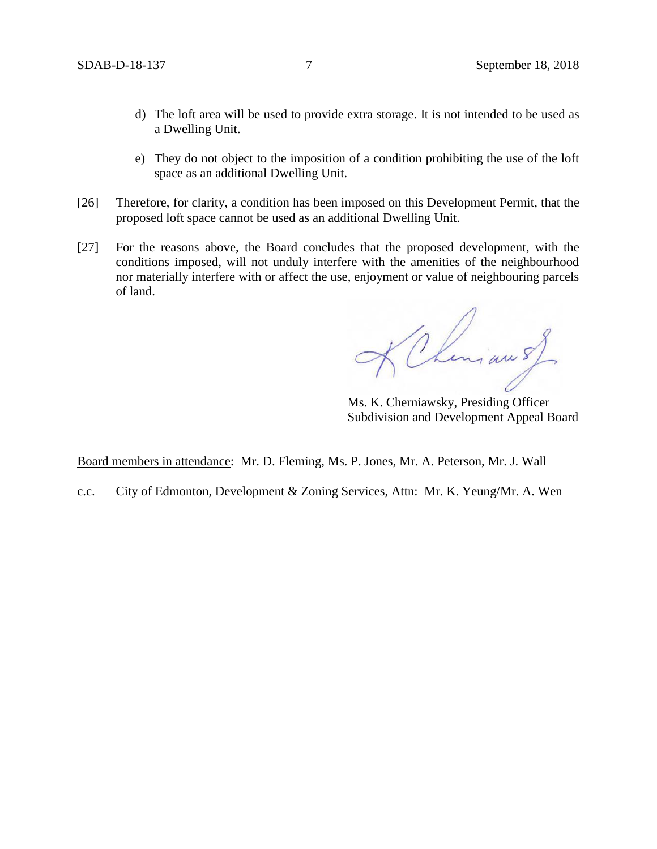- d) The loft area will be used to provide extra storage. It is not intended to be used as a Dwelling Unit.
- e) They do not object to the imposition of a condition prohibiting the use of the loft space as an additional Dwelling Unit.
- [26] Therefore, for clarity, a condition has been imposed on this Development Permit, that the proposed loft space cannot be used as an additional Dwelling Unit.
- [27] For the reasons above, the Board concludes that the proposed development, with the conditions imposed, will not unduly interfere with the amenities of the neighbourhood nor materially interfere with or affect the use, enjoyment or value of neighbouring parcels of land.

K Chemian of

Ms. K. Cherniawsky, Presiding Officer Subdivision and Development Appeal Board

Board members in attendance: Mr. D. Fleming, Ms. P. Jones, Mr. A. Peterson, Mr. J. Wall

c.c. City of Edmonton, Development & Zoning Services, Attn: Mr. K. Yeung/Mr. A. Wen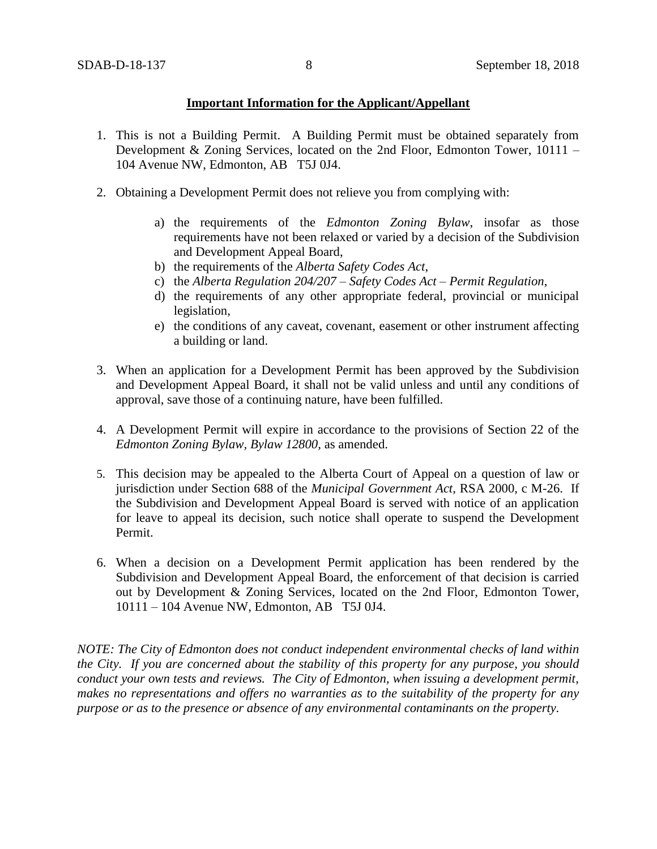## **Important Information for the Applicant/Appellant**

- 1. This is not a Building Permit. A Building Permit must be obtained separately from Development & Zoning Services, located on the 2nd Floor, Edmonton Tower, 10111 – 104 Avenue NW, Edmonton, AB T5J 0J4.
- 2. Obtaining a Development Permit does not relieve you from complying with:
	- a) the requirements of the *Edmonton Zoning Bylaw*, insofar as those requirements have not been relaxed or varied by a decision of the Subdivision and Development Appeal Board,
	- b) the requirements of the *Alberta Safety Codes Act*,
	- c) the *Alberta Regulation 204/207 – Safety Codes Act – Permit Regulation*,
	- d) the requirements of any other appropriate federal, provincial or municipal legislation,
	- e) the conditions of any caveat, covenant, easement or other instrument affecting a building or land.
- 3. When an application for a Development Permit has been approved by the Subdivision and Development Appeal Board, it shall not be valid unless and until any conditions of approval, save those of a continuing nature, have been fulfilled.
- 4. A Development Permit will expire in accordance to the provisions of Section 22 of the *Edmonton Zoning Bylaw, Bylaw 12800*, as amended.
- 5. This decision may be appealed to the Alberta Court of Appeal on a question of law or jurisdiction under Section 688 of the *Municipal Government Act*, RSA 2000, c M-26. If the Subdivision and Development Appeal Board is served with notice of an application for leave to appeal its decision, such notice shall operate to suspend the Development Permit.
- 6. When a decision on a Development Permit application has been rendered by the Subdivision and Development Appeal Board, the enforcement of that decision is carried out by Development & Zoning Services, located on the 2nd Floor, Edmonton Tower, 10111 – 104 Avenue NW, Edmonton, AB T5J 0J4.

*NOTE: The City of Edmonton does not conduct independent environmental checks of land within the City. If you are concerned about the stability of this property for any purpose, you should conduct your own tests and reviews. The City of Edmonton, when issuing a development permit, makes no representations and offers no warranties as to the suitability of the property for any purpose or as to the presence or absence of any environmental contaminants on the property.*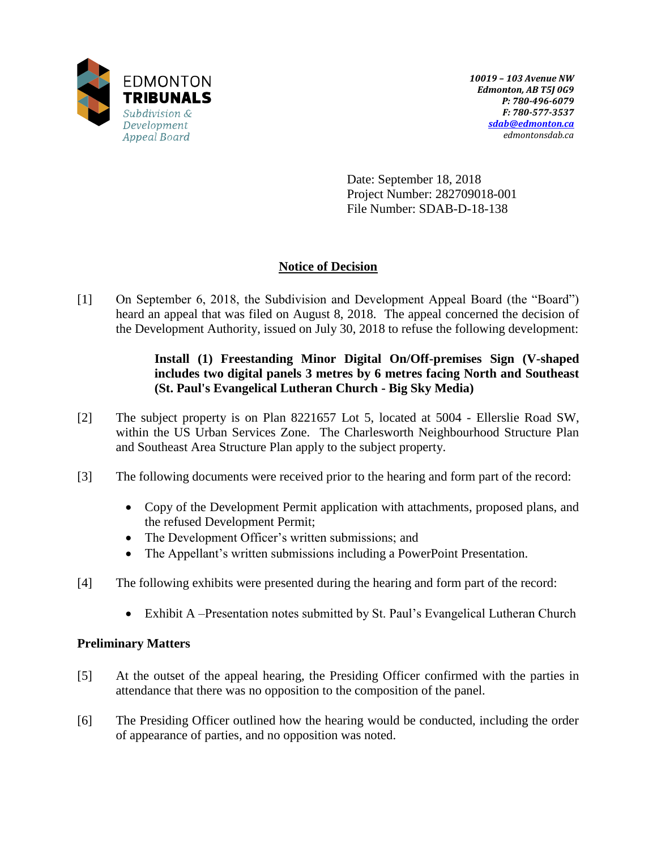

Date: September 18, 2018 Project Number: 282709018-001 File Number: SDAB-D-18-138

# **Notice of Decision**

[1] On September 6, 2018, the Subdivision and Development Appeal Board (the "Board") heard an appeal that was filed on August 8, 2018. The appeal concerned the decision of the Development Authority, issued on July 30, 2018 to refuse the following development:

# **Install (1) Freestanding Minor Digital On/Off-premises Sign (V-shaped includes two digital panels 3 metres by 6 metres facing North and Southeast (St. Paul's Evangelical Lutheran Church - Big Sky Media)**

- [2] The subject property is on Plan 8221657 Lot 5, located at 5004 Ellerslie Road SW, within the US Urban Services Zone. The Charlesworth Neighbourhood Structure Plan and Southeast Area Structure Plan apply to the subject property.
- [3] The following documents were received prior to the hearing and form part of the record:
	- Copy of the Development Permit application with attachments, proposed plans, and the refused Development Permit;
	- The Development Officer's written submissions; and
	- The Appellant's written submissions including a PowerPoint Presentation.
- [4] The following exhibits were presented during the hearing and form part of the record:
	- Exhibit A –Presentation notes submitted by St. Paul's Evangelical Lutheran Church

## **Preliminary Matters**

- [5] At the outset of the appeal hearing, the Presiding Officer confirmed with the parties in attendance that there was no opposition to the composition of the panel.
- [6] The Presiding Officer outlined how the hearing would be conducted, including the order of appearance of parties, and no opposition was noted.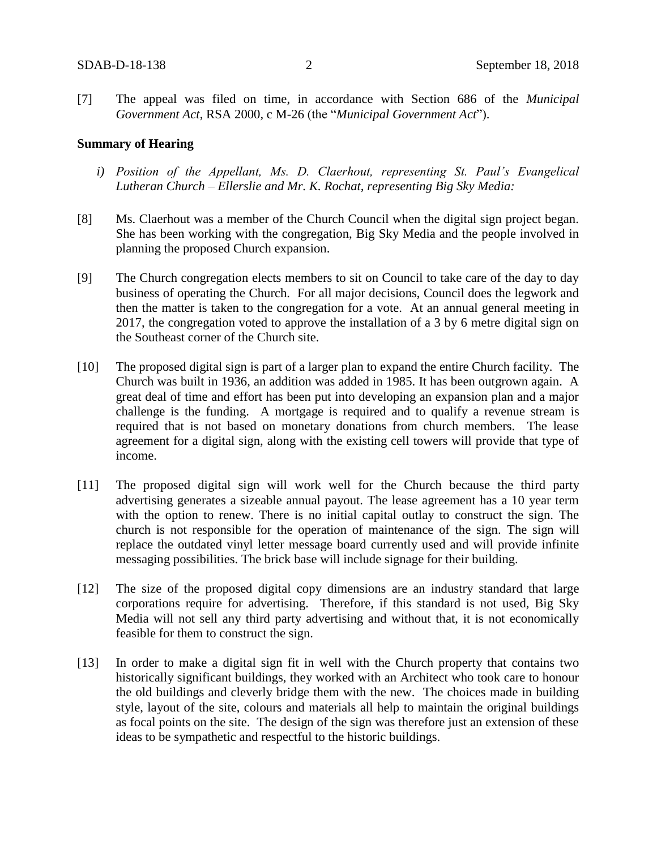[7] The appeal was filed on time, in accordance with Section 686 of the *Municipal Government Act*, RSA 2000, c M-26 (the "*Municipal Government Act*").

### **Summary of Hearing**

- *i) Position of the Appellant, Ms. D. Claerhout, representing St. Paul's Evangelical Lutheran Church – Ellerslie and Mr. K. Rochat, representing Big Sky Media:*
- [8] Ms. Claerhout was a member of the Church Council when the digital sign project began. She has been working with the congregation, Big Sky Media and the people involved in planning the proposed Church expansion.
- [9] The Church congregation elects members to sit on Council to take care of the day to day business of operating the Church. For all major decisions, Council does the legwork and then the matter is taken to the congregation for a vote. At an annual general meeting in 2017, the congregation voted to approve the installation of a 3 by 6 metre digital sign on the Southeast corner of the Church site.
- [10] The proposed digital sign is part of a larger plan to expand the entire Church facility. The Church was built in 1936, an addition was added in 1985. It has been outgrown again. A great deal of time and effort has been put into developing an expansion plan and a major challenge is the funding. A mortgage is required and to qualify a revenue stream is required that is not based on monetary donations from church members. The lease agreement for a digital sign, along with the existing cell towers will provide that type of income.
- [11] The proposed digital sign will work well for the Church because the third party advertising generates a sizeable annual payout. The lease agreement has a 10 year term with the option to renew. There is no initial capital outlay to construct the sign. The church is not responsible for the operation of maintenance of the sign. The sign will replace the outdated vinyl letter message board currently used and will provide infinite messaging possibilities. The brick base will include signage for their building.
- [12] The size of the proposed digital copy dimensions are an industry standard that large corporations require for advertising. Therefore, if this standard is not used, Big Sky Media will not sell any third party advertising and without that, it is not economically feasible for them to construct the sign.
- [13] In order to make a digital sign fit in well with the Church property that contains two historically significant buildings, they worked with an Architect who took care to honour the old buildings and cleverly bridge them with the new. The choices made in building style, layout of the site, colours and materials all help to maintain the original buildings as focal points on the site. The design of the sign was therefore just an extension of these ideas to be sympathetic and respectful to the historic buildings.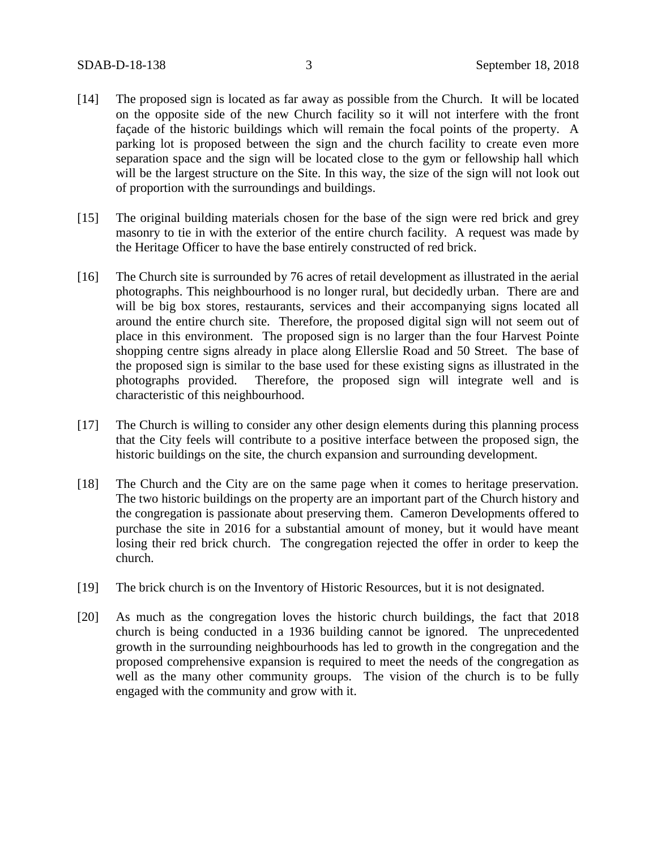- [14] The proposed sign is located as far away as possible from the Church. It will be located on the opposite side of the new Church facility so it will not interfere with the front façade of the historic buildings which will remain the focal points of the property. A parking lot is proposed between the sign and the church facility to create even more separation space and the sign will be located close to the gym or fellowship hall which will be the largest structure on the Site. In this way, the size of the sign will not look out of proportion with the surroundings and buildings.
- [15] The original building materials chosen for the base of the sign were red brick and grey masonry to tie in with the exterior of the entire church facility. A request was made by the Heritage Officer to have the base entirely constructed of red brick.
- [16] The Church site is surrounded by 76 acres of retail development as illustrated in the aerial photographs. This neighbourhood is no longer rural, but decidedly urban. There are and will be big box stores, restaurants, services and their accompanying signs located all around the entire church site. Therefore, the proposed digital sign will not seem out of place in this environment. The proposed sign is no larger than the four Harvest Pointe shopping centre signs already in place along Ellerslie Road and 50 Street. The base of the proposed sign is similar to the base used for these existing signs as illustrated in the photographs provided. Therefore, the proposed sign will integrate well and is characteristic of this neighbourhood.
- [17] The Church is willing to consider any other design elements during this planning process that the City feels will contribute to a positive interface between the proposed sign, the historic buildings on the site, the church expansion and surrounding development.
- [18] The Church and the City are on the same page when it comes to heritage preservation. The two historic buildings on the property are an important part of the Church history and the congregation is passionate about preserving them. Cameron Developments offered to purchase the site in 2016 for a substantial amount of money, but it would have meant losing their red brick church. The congregation rejected the offer in order to keep the church.
- [19] The brick church is on the Inventory of Historic Resources, but it is not designated.
- [20] As much as the congregation loves the historic church buildings, the fact that 2018 church is being conducted in a 1936 building cannot be ignored. The unprecedented growth in the surrounding neighbourhoods has led to growth in the congregation and the proposed comprehensive expansion is required to meet the needs of the congregation as well as the many other community groups. The vision of the church is to be fully engaged with the community and grow with it.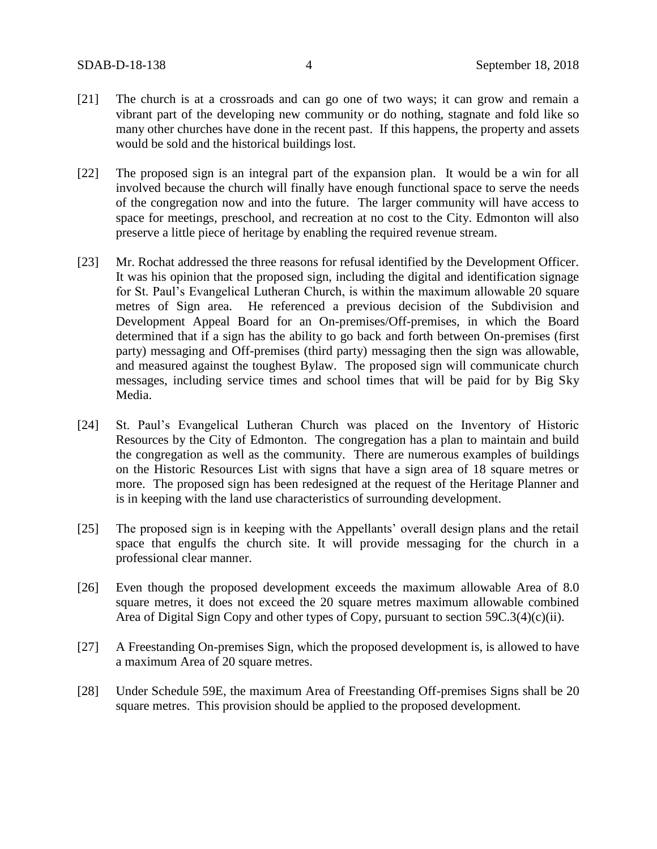- [21] The church is at a crossroads and can go one of two ways; it can grow and remain a vibrant part of the developing new community or do nothing, stagnate and fold like so many other churches have done in the recent past. If this happens, the property and assets would be sold and the historical buildings lost.
- [22] The proposed sign is an integral part of the expansion plan. It would be a win for all involved because the church will finally have enough functional space to serve the needs of the congregation now and into the future. The larger community will have access to space for meetings, preschool, and recreation at no cost to the City. Edmonton will also preserve a little piece of heritage by enabling the required revenue stream.
- [23] Mr. Rochat addressed the three reasons for refusal identified by the Development Officer. It was his opinion that the proposed sign, including the digital and identification signage for St. Paul's Evangelical Lutheran Church, is within the maximum allowable 20 square metres of Sign area. He referenced a previous decision of the Subdivision and Development Appeal Board for an On-premises/Off-premises, in which the Board determined that if a sign has the ability to go back and forth between On-premises (first party) messaging and Off-premises (third party) messaging then the sign was allowable, and measured against the toughest Bylaw. The proposed sign will communicate church messages, including service times and school times that will be paid for by Big Sky Media.
- [24] St. Paul's Evangelical Lutheran Church was placed on the Inventory of Historic Resources by the City of Edmonton. The congregation has a plan to maintain and build the congregation as well as the community. There are numerous examples of buildings on the Historic Resources List with signs that have a sign area of 18 square metres or more. The proposed sign has been redesigned at the request of the Heritage Planner and is in keeping with the land use characteristics of surrounding development.
- [25] The proposed sign is in keeping with the Appellants' overall design plans and the retail space that engulfs the church site. It will provide messaging for the church in a professional clear manner.
- [26] Even though the proposed development exceeds the maximum allowable Area of 8.0 square metres, it does not exceed the 20 square metres maximum allowable combined Area of Digital Sign Copy and other types of Copy, pursuant to section 59C.3(4)(c)(ii).
- [27] A Freestanding On-premises Sign, which the proposed development is, is allowed to have a maximum Area of 20 square metres.
- [28] Under Schedule 59E, the maximum Area of Freestanding Off-premises Signs shall be 20 square metres. This provision should be applied to the proposed development.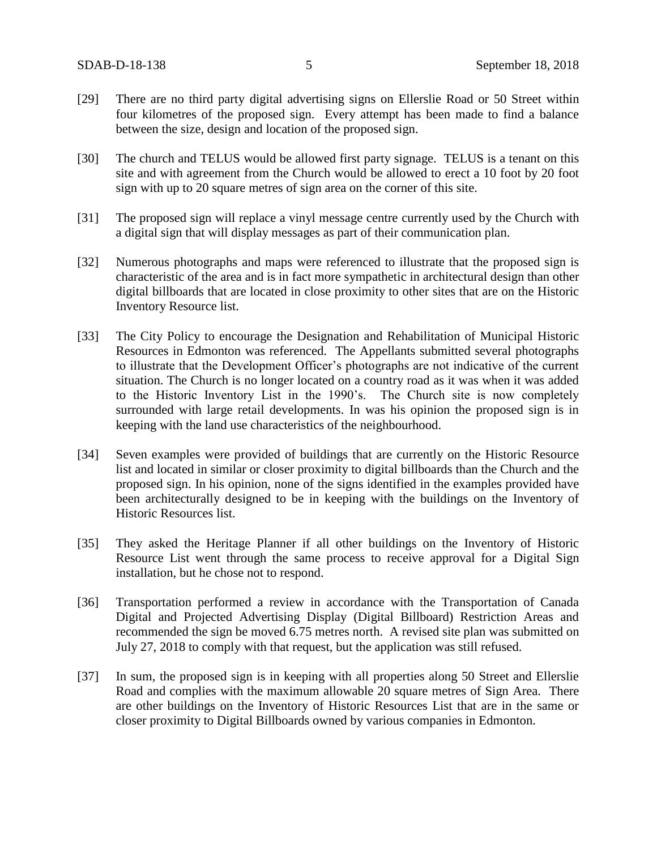- [29] There are no third party digital advertising signs on Ellerslie Road or 50 Street within four kilometres of the proposed sign. Every attempt has been made to find a balance between the size, design and location of the proposed sign.
- [30] The church and TELUS would be allowed first party signage. TELUS is a tenant on this site and with agreement from the Church would be allowed to erect a 10 foot by 20 foot sign with up to 20 square metres of sign area on the corner of this site.
- [31] The proposed sign will replace a vinyl message centre currently used by the Church with a digital sign that will display messages as part of their communication plan.
- [32] Numerous photographs and maps were referenced to illustrate that the proposed sign is characteristic of the area and is in fact more sympathetic in architectural design than other digital billboards that are located in close proximity to other sites that are on the Historic Inventory Resource list.
- [33] The City Policy to encourage the Designation and Rehabilitation of Municipal Historic Resources in Edmonton was referenced. The Appellants submitted several photographs to illustrate that the Development Officer's photographs are not indicative of the current situation. The Church is no longer located on a country road as it was when it was added to the Historic Inventory List in the 1990's. The Church site is now completely surrounded with large retail developments. In was his opinion the proposed sign is in keeping with the land use characteristics of the neighbourhood.
- [34] Seven examples were provided of buildings that are currently on the Historic Resource list and located in similar or closer proximity to digital billboards than the Church and the proposed sign. In his opinion, none of the signs identified in the examples provided have been architecturally designed to be in keeping with the buildings on the Inventory of Historic Resources list.
- [35] They asked the Heritage Planner if all other buildings on the Inventory of Historic Resource List went through the same process to receive approval for a Digital Sign installation, but he chose not to respond.
- [36] Transportation performed a review in accordance with the Transportation of Canada Digital and Projected Advertising Display (Digital Billboard) Restriction Areas and recommended the sign be moved 6.75 metres north. A revised site plan was submitted on July 27, 2018 to comply with that request, but the application was still refused.
- [37] In sum, the proposed sign is in keeping with all properties along 50 Street and Ellerslie Road and complies with the maximum allowable 20 square metres of Sign Area. There are other buildings on the Inventory of Historic Resources List that are in the same or closer proximity to Digital Billboards owned by various companies in Edmonton.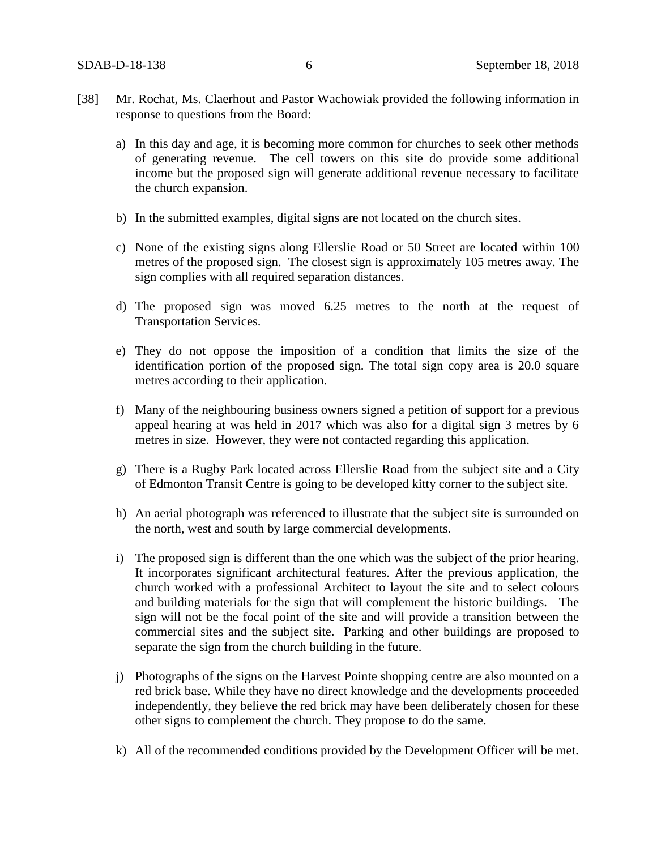- [38] Mr. Rochat, Ms. Claerhout and Pastor Wachowiak provided the following information in response to questions from the Board:
	- a) In this day and age, it is becoming more common for churches to seek other methods of generating revenue. The cell towers on this site do provide some additional income but the proposed sign will generate additional revenue necessary to facilitate the church expansion.
	- b) In the submitted examples, digital signs are not located on the church sites.
	- c) None of the existing signs along Ellerslie Road or 50 Street are located within 100 metres of the proposed sign. The closest sign is approximately 105 metres away. The sign complies with all required separation distances.
	- d) The proposed sign was moved 6.25 metres to the north at the request of Transportation Services.
	- e) They do not oppose the imposition of a condition that limits the size of the identification portion of the proposed sign. The total sign copy area is 20.0 square metres according to their application.
	- f) Many of the neighbouring business owners signed a petition of support for a previous appeal hearing at was held in 2017 which was also for a digital sign 3 metres by 6 metres in size. However, they were not contacted regarding this application.
	- g) There is a Rugby Park located across Ellerslie Road from the subject site and a City of Edmonton Transit Centre is going to be developed kitty corner to the subject site.
	- h) An aerial photograph was referenced to illustrate that the subject site is surrounded on the north, west and south by large commercial developments.
	- i) The proposed sign is different than the one which was the subject of the prior hearing. It incorporates significant architectural features. After the previous application, the church worked with a professional Architect to layout the site and to select colours and building materials for the sign that will complement the historic buildings. The sign will not be the focal point of the site and will provide a transition between the commercial sites and the subject site. Parking and other buildings are proposed to separate the sign from the church building in the future.
	- j) Photographs of the signs on the Harvest Pointe shopping centre are also mounted on a red brick base. While they have no direct knowledge and the developments proceeded independently, they believe the red brick may have been deliberately chosen for these other signs to complement the church. They propose to do the same.
	- k) All of the recommended conditions provided by the Development Officer will be met.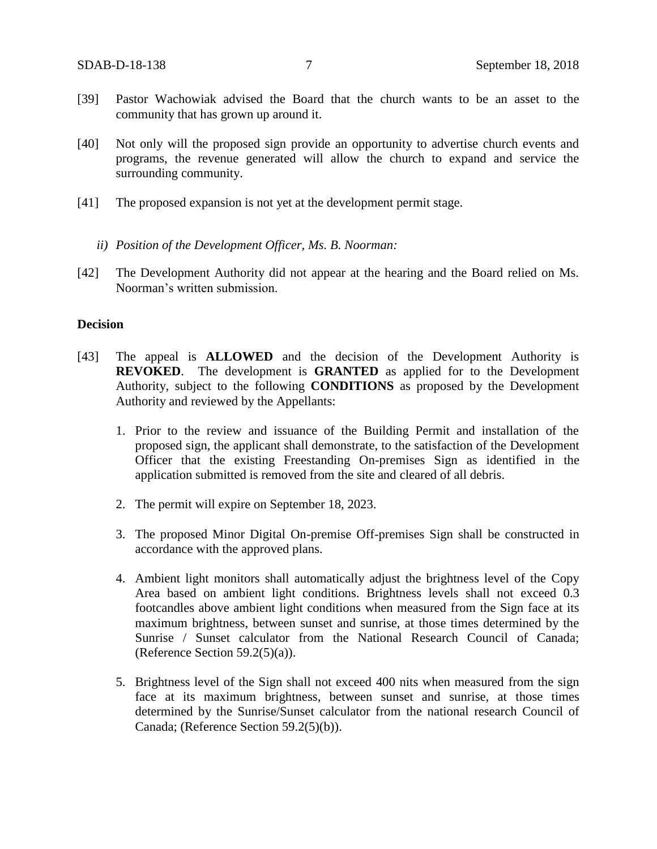- [39] Pastor Wachowiak advised the Board that the church wants to be an asset to the community that has grown up around it.
- [40] Not only will the proposed sign provide an opportunity to advertise church events and programs, the revenue generated will allow the church to expand and service the surrounding community.
- [41] The proposed expansion is not yet at the development permit stage.
	- *ii) Position of the Development Officer, Ms. B. Noorman:*
- [42] The Development Authority did not appear at the hearing and the Board relied on Ms. Noorman's written submission.

#### **Decision**

- [43] The appeal is **ALLOWED** and the decision of the Development Authority is **REVOKED**. The development is **GRANTED** as applied for to the Development Authority, subject to the following **CONDITIONS** as proposed by the Development Authority and reviewed by the Appellants:
	- 1. Prior to the review and issuance of the Building Permit and installation of the proposed sign, the applicant shall demonstrate, to the satisfaction of the Development Officer that the existing Freestanding On-premises Sign as identified in the application submitted is removed from the site and cleared of all debris.
	- 2. The permit will expire on September 18, 2023.
	- 3. The proposed Minor Digital On-premise Off-premises Sign shall be constructed in accordance with the approved plans.
	- 4. Ambient light monitors shall automatically adjust the brightness level of the Copy Area based on ambient light conditions. Brightness levels shall not exceed 0.3 footcandles above ambient light conditions when measured from the Sign face at its maximum brightness, between sunset and sunrise, at those times determined by the Sunrise / Sunset calculator from the National Research Council of Canada; (Reference Section  $59.2(5)(a)$ ).
	- 5. Brightness level of the Sign shall not exceed 400 nits when measured from the sign face at its maximum brightness, between sunset and sunrise, at those times determined by the Sunrise/Sunset calculator from the national research Council of Canada; (Reference Section 59.2(5)(b)).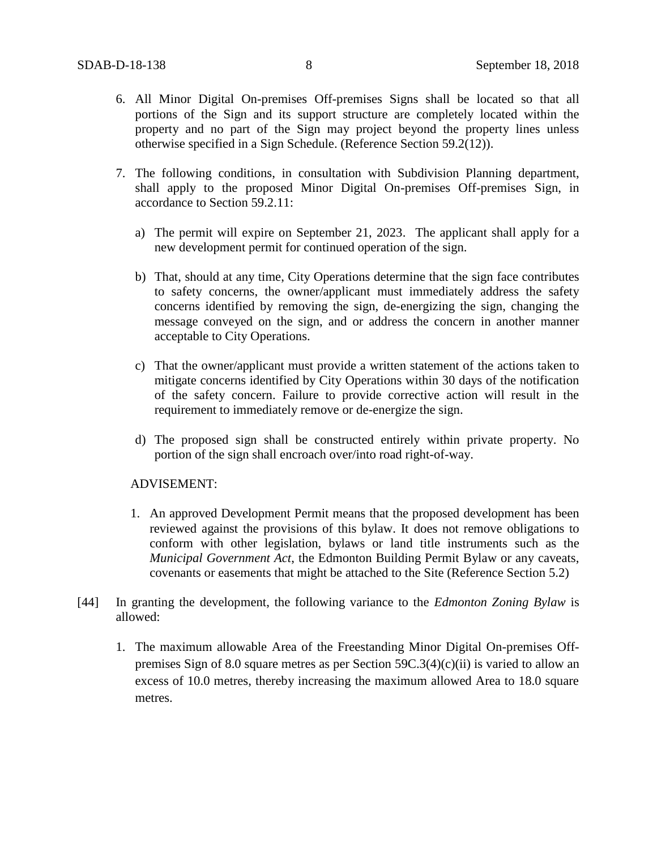- 6. All Minor Digital On-premises Off-premises Signs shall be located so that all portions of the Sign and its support structure are completely located within the property and no part of the Sign may project beyond the property lines unless otherwise specified in a Sign Schedule. (Reference Section 59.2(12)).
- 7. The following conditions, in consultation with Subdivision Planning department, shall apply to the proposed Minor Digital On-premises Off-premises Sign, in accordance to Section 59.2.11:
	- a) The permit will expire on September 21, 2023. The applicant shall apply for a new development permit for continued operation of the sign.
	- b) That, should at any time, City Operations determine that the sign face contributes to safety concerns, the owner/applicant must immediately address the safety concerns identified by removing the sign, de-energizing the sign, changing the message conveyed on the sign, and or address the concern in another manner acceptable to City Operations.
	- c) That the owner/applicant must provide a written statement of the actions taken to mitigate concerns identified by City Operations within 30 days of the notification of the safety concern. Failure to provide corrective action will result in the requirement to immediately remove or de-energize the sign.
	- d) The proposed sign shall be constructed entirely within private property. No portion of the sign shall encroach over/into road right-of-way.

### ADVISEMENT:

- 1. An approved Development Permit means that the proposed development has been reviewed against the provisions of this bylaw. It does not remove obligations to conform with other legislation, bylaws or land title instruments such as the *Municipal Government Act*, the Edmonton Building Permit Bylaw or any caveats, covenants or easements that might be attached to the Site (Reference Section 5.2)
- [44] In granting the development, the following variance to the *Edmonton Zoning Bylaw* is allowed:
	- 1. The maximum allowable Area of the Freestanding Minor Digital On-premises Offpremises Sign of 8.0 square metres as per Section  $59C.3(4)(c)(ii)$  is varied to allow an excess of 10.0 metres, thereby increasing the maximum allowed Area to 18.0 square metres.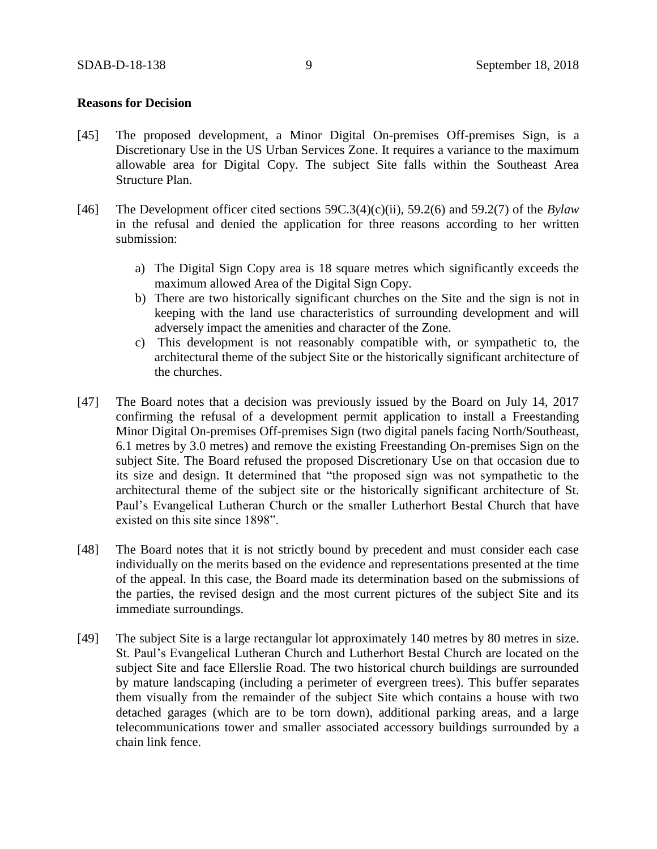### **Reasons for Decision**

- [45] The proposed development, a Minor Digital On-premises Off-premises Sign, is a Discretionary Use in the US Urban Services Zone. It requires a variance to the maximum allowable area for Digital Copy. The subject Site falls within the Southeast Area Structure Plan.
- [46] The Development officer cited sections 59C.3(4)(c)(ii), 59.2(6) and 59.2(7) of the *Bylaw* in the refusal and denied the application for three reasons according to her written submission:
	- a) The Digital Sign Copy area is 18 square metres which significantly exceeds the maximum allowed Area of the Digital Sign Copy.
	- b) There are two historically significant churches on the Site and the sign is not in keeping with the land use characteristics of surrounding development and will adversely impact the amenities and character of the Zone.
	- c) This development is not reasonably compatible with, or sympathetic to, the architectural theme of the subject Site or the historically significant architecture of the churches.
- [47] The Board notes that a decision was previously issued by the Board on July 14, 2017 confirming the refusal of a development permit application to install a Freestanding Minor Digital On-premises Off-premises Sign (two digital panels facing North/Southeast, 6.1 metres by 3.0 metres) and remove the existing Freestanding On-premises Sign on the subject Site. The Board refused the proposed Discretionary Use on that occasion due to its size and design. It determined that "the proposed sign was not sympathetic to the architectural theme of the subject site or the historically significant architecture of St. Paul's Evangelical Lutheran Church or the smaller Lutherhort Bestal Church that have existed on this site since 1898".
- [48] The Board notes that it is not strictly bound by precedent and must consider each case individually on the merits based on the evidence and representations presented at the time of the appeal. In this case, the Board made its determination based on the submissions of the parties, the revised design and the most current pictures of the subject Site and its immediate surroundings.
- [49] The subject Site is a large rectangular lot approximately 140 metres by 80 metres in size. St. Paul's Evangelical Lutheran Church and Lutherhort Bestal Church are located on the subject Site and face Ellerslie Road. The two historical church buildings are surrounded by mature landscaping (including a perimeter of evergreen trees). This buffer separates them visually from the remainder of the subject Site which contains a house with two detached garages (which are to be torn down), additional parking areas, and a large telecommunications tower and smaller associated accessory buildings surrounded by a chain link fence.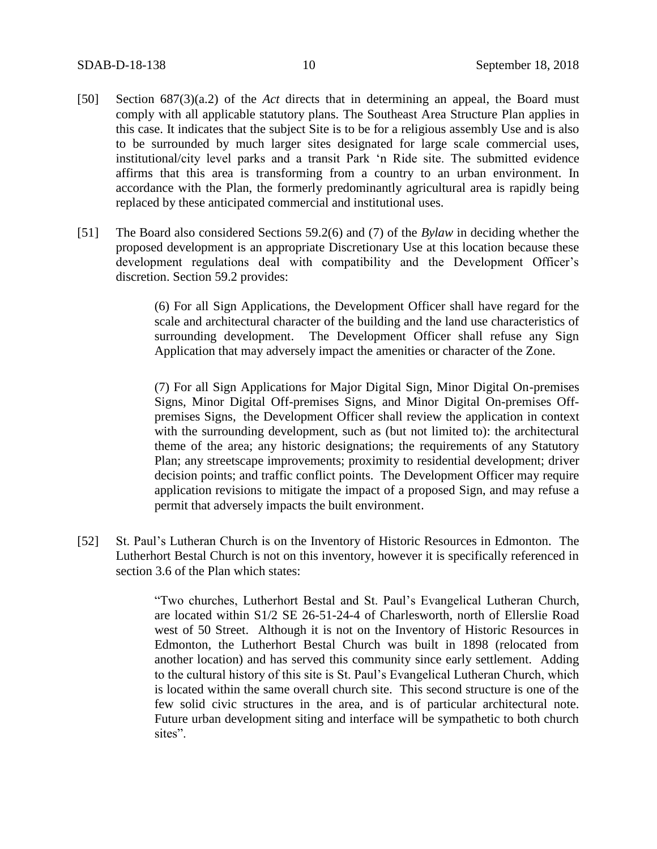- [50] Section 687(3)(a.2) of the *Act* directs that in determining an appeal, the Board must comply with all applicable statutory plans. The Southeast Area Structure Plan applies in this case. It indicates that the subject Site is to be for a religious assembly Use and is also to be surrounded by much larger sites designated for large scale commercial uses, institutional/city level parks and a transit Park 'n Ride site. The submitted evidence affirms that this area is transforming from a country to an urban environment. In accordance with the Plan, the formerly predominantly agricultural area is rapidly being replaced by these anticipated commercial and institutional uses.
- [51] The Board also considered Sections 59.2(6) and (7) of the *Bylaw* in deciding whether the proposed development is an appropriate Discretionary Use at this location because these development regulations deal with compatibility and the Development Officer's discretion. Section 59.2 provides:

(6) For all Sign Applications, the Development Officer shall have regard for the scale and architectural character of the building and the land use characteristics of surrounding development. The Development Officer shall refuse any Sign Application that may adversely impact the amenities or character of the Zone.

(7) For all Sign Applications for Major Digital Sign, Minor Digital On-premises Signs, Minor Digital Off-premises Signs, and Minor Digital On-premises Offpremises Signs, the Development Officer shall review the application in context with the surrounding development, such as (but not limited to): the architectural theme of the area; any historic designations; the requirements of any Statutory Plan; any streetscape improvements; proximity to residential development; driver decision points; and traffic conflict points. The Development Officer may require application revisions to mitigate the impact of a proposed Sign, and may refuse a permit that adversely impacts the built environment.

[52] St. Paul's Lutheran Church is on the Inventory of Historic Resources in Edmonton. The Lutherhort Bestal Church is not on this inventory, however it is specifically referenced in section 3.6 of the Plan which states:

> "Two churches, Lutherhort Bestal and St. Paul's Evangelical Lutheran Church, are located within S1/2 SE 26-51-24-4 of Charlesworth, north of Ellerslie Road west of 50 Street. Although it is not on the Inventory of Historic Resources in Edmonton, the Lutherhort Bestal Church was built in 1898 (relocated from another location) and has served this community since early settlement. Adding to the cultural history of this site is St. Paul's Evangelical Lutheran Church, which is located within the same overall church site. This second structure is one of the few solid civic structures in the area, and is of particular architectural note. Future urban development siting and interface will be sympathetic to both church sites".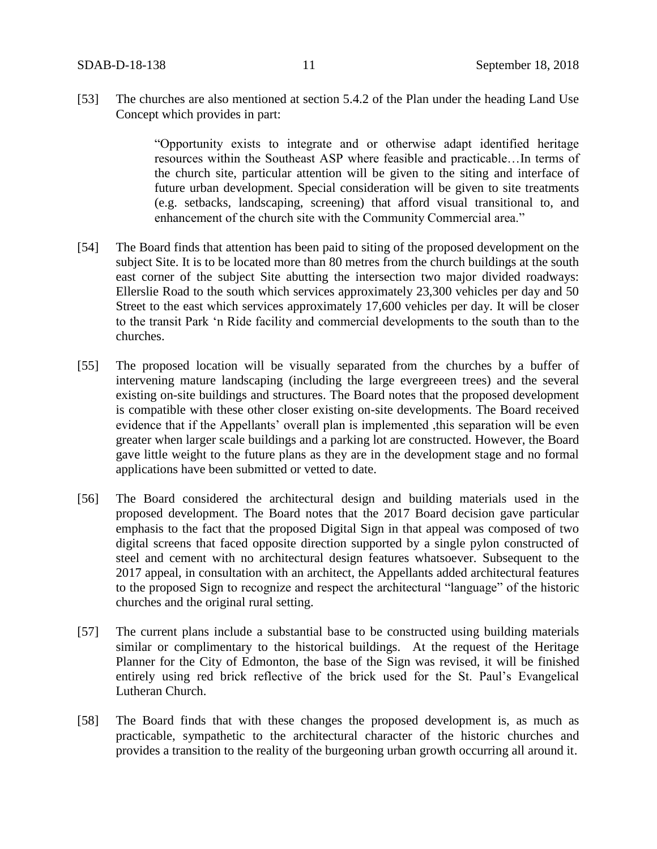[53] The churches are also mentioned at section 5.4.2 of the Plan under the heading Land Use Concept which provides in part:

> "Opportunity exists to integrate and or otherwise adapt identified heritage resources within the Southeast ASP where feasible and practicable…In terms of the church site, particular attention will be given to the siting and interface of future urban development. Special consideration will be given to site treatments (e.g. setbacks, landscaping, screening) that afford visual transitional to, and enhancement of the church site with the Community Commercial area."

- [54] The Board finds that attention has been paid to siting of the proposed development on the subject Site. It is to be located more than 80 metres from the church buildings at the south east corner of the subject Site abutting the intersection two major divided roadways: Ellerslie Road to the south which services approximately 23,300 vehicles per day and 50 Street to the east which services approximately 17,600 vehicles per day. It will be closer to the transit Park 'n Ride facility and commercial developments to the south than to the churches.
- [55] The proposed location will be visually separated from the churches by a buffer of intervening mature landscaping (including the large evergreeen trees) and the several existing on-site buildings and structures. The Board notes that the proposed development is compatible with these other closer existing on-site developments. The Board received evidence that if the Appellants' overall plan is implemented ,this separation will be even greater when larger scale buildings and a parking lot are constructed. However, the Board gave little weight to the future plans as they are in the development stage and no formal applications have been submitted or vetted to date.
- [56] The Board considered the architectural design and building materials used in the proposed development. The Board notes that the 2017 Board decision gave particular emphasis to the fact that the proposed Digital Sign in that appeal was composed of two digital screens that faced opposite direction supported by a single pylon constructed of steel and cement with no architectural design features whatsoever. Subsequent to the 2017 appeal, in consultation with an architect, the Appellants added architectural features to the proposed Sign to recognize and respect the architectural "language" of the historic churches and the original rural setting.
- [57] The current plans include a substantial base to be constructed using building materials similar or complimentary to the historical buildings. At the request of the Heritage Planner for the City of Edmonton, the base of the Sign was revised, it will be finished entirely using red brick reflective of the brick used for the St. Paul's Evangelical Lutheran Church.
- [58] The Board finds that with these changes the proposed development is, as much as practicable, sympathetic to the architectural character of the historic churches and provides a transition to the reality of the burgeoning urban growth occurring all around it.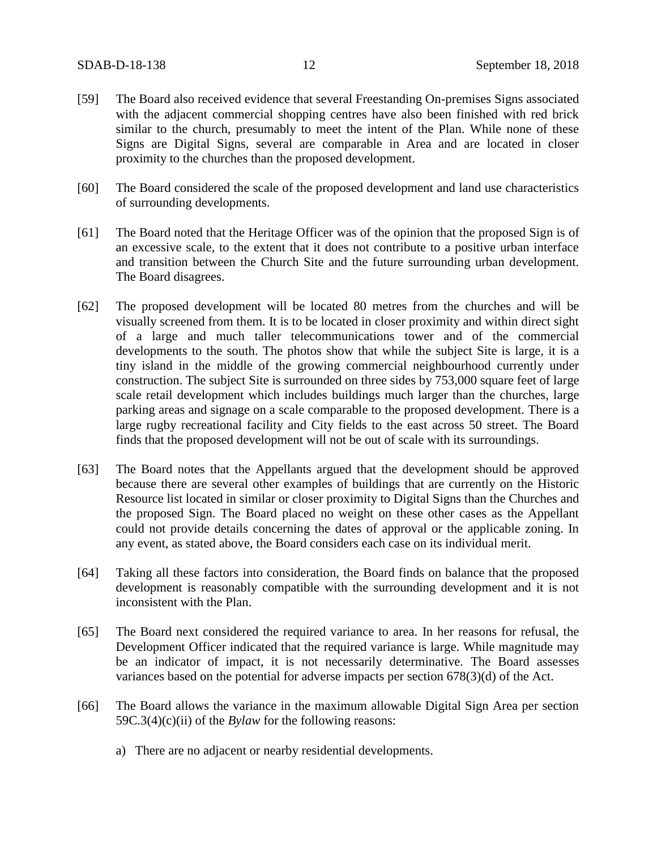- [59] The Board also received evidence that several Freestanding On-premises Signs associated with the adjacent commercial shopping centres have also been finished with red brick similar to the church, presumably to meet the intent of the Plan. While none of these Signs are Digital Signs, several are comparable in Area and are located in closer proximity to the churches than the proposed development.
- [60] The Board considered the scale of the proposed development and land use characteristics of surrounding developments.
- [61] The Board noted that the Heritage Officer was of the opinion that the proposed Sign is of an excessive scale, to the extent that it does not contribute to a positive urban interface and transition between the Church Site and the future surrounding urban development. The Board disagrees.
- [62] The proposed development will be located 80 metres from the churches and will be visually screened from them. It is to be located in closer proximity and within direct sight of a large and much taller telecommunications tower and of the commercial developments to the south. The photos show that while the subject Site is large, it is a tiny island in the middle of the growing commercial neighbourhood currently under construction. The subject Site is surrounded on three sides by 753,000 square feet of large scale retail development which includes buildings much larger than the churches, large parking areas and signage on a scale comparable to the proposed development. There is a large rugby recreational facility and City fields to the east across 50 street. The Board finds that the proposed development will not be out of scale with its surroundings.
- [63] The Board notes that the Appellants argued that the development should be approved because there are several other examples of buildings that are currently on the Historic Resource list located in similar or closer proximity to Digital Signs than the Churches and the proposed Sign. The Board placed no weight on these other cases as the Appellant could not provide details concerning the dates of approval or the applicable zoning. In any event, as stated above, the Board considers each case on its individual merit.
- [64] Taking all these factors into consideration, the Board finds on balance that the proposed development is reasonably compatible with the surrounding development and it is not inconsistent with the Plan.
- [65] The Board next considered the required variance to area. In her reasons for refusal, the Development Officer indicated that the required variance is large. While magnitude may be an indicator of impact, it is not necessarily determinative. The Board assesses variances based on the potential for adverse impacts per section 678(3)(d) of the Act.
- [66] The Board allows the variance in the maximum allowable Digital Sign Area per section 59C.3(4)(c)(ii) of the *Bylaw* for the following reasons:
	- a) There are no adjacent or nearby residential developments.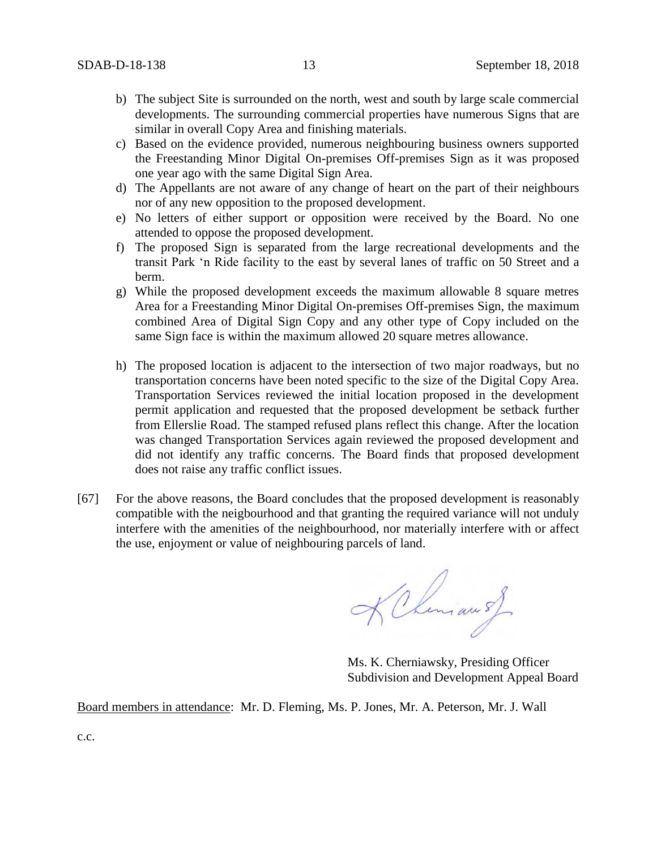- b) The subject Site is surrounded on the north, west and south by large scale commercial developments. The surrounding commercial properties have numerous Signs that are similar in overall Copy Area and finishing materials.
- c) Based on the evidence provided, numerous neighbouring business owners supported the Freestanding Minor Digital On-premises Off-premises Sign as it was proposed one year ago with the same Digital Sign Area.
- d) The Appellants are not aware of any change of heart on the part of their neighbours nor of any new opposition to the proposed development.
- e) No letters of either support or opposition were received by the Board. No one attended to oppose the proposed development.
- f) The proposed Sign is separated from the large recreational developments and the transit Park 'n Ride facility to the east by several lanes of traffic on 50 Street and a berm.
- g) While the proposed development exceeds the maximum allowable 8 square metres Area for a Freestanding Minor Digital On-premises Off-premises Sign, the maximum combined Area of Digital Sign Copy and any other type of Copy included on the same Sign face is within the maximum allowed 20 square metres allowance.
- h) The proposed location is adjacent to the intersection of two major roadways, but no transportation concerns have been noted specific to the size of the Digital Copy Area. Transportation Services reviewed the initial location proposed in the development permit application and requested that the proposed development be setback further from Ellerslie Road. The stamped refused plans reflect this change. After the location was changed Transportation Services again reviewed the proposed development and did not identify any traffic concerns. The Board finds that proposed development does not raise any traffic conflict issues.
- [67] For the above reasons, the Board concludes that the proposed development is reasonably compatible with the neigbourhood and that granting the required variance will not unduly interfere with the amenities of the neighbourhood, nor materially interfere with or affect the use, enjoyment or value of neighbouring parcels of land.

KChemian of

Ms. K. Cherniawsky, Presiding Officer Subdivision and Development Appeal Board

Board members in attendance: Mr. D. Fleming, Ms. P. Jones, Mr. A. Peterson, Mr. J. Wall